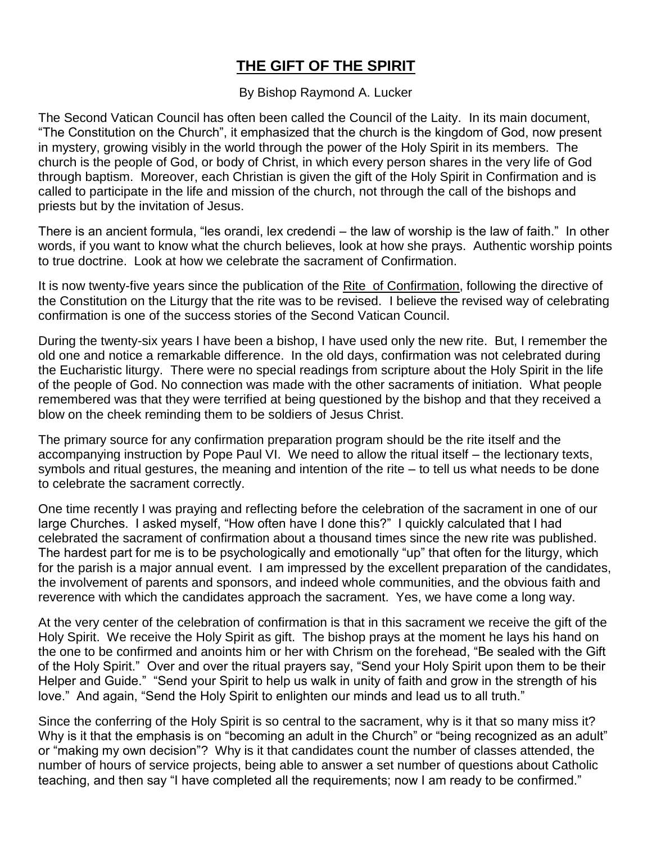## **THE GIFT OF THE SPIRIT**

## By Bishop Raymond A. Lucker

The Second Vatican Council has often been called the Council of the Laity. In its main document, "The Constitution on the Church", it emphasized that the church is the kingdom of God, now present in mystery, growing visibly in the world through the power of the Holy Spirit in its members. The church is the people of God, or body of Christ, in which every person shares in the very life of God through baptism. Moreover, each Christian is given the gift of the Holy Spirit in Confirmation and is called to participate in the life and mission of the church, not through the call of the bishops and priests but by the invitation of Jesus.

There is an ancient formula, "les orandi, lex credendi – the law of worship is the law of faith." In other words, if you want to know what the church believes, look at how she prays. Authentic worship points to true doctrine. Look at how we celebrate the sacrament of Confirmation.

It is now twenty-five years since the publication of the Rite of Confirmation, following the directive of the Constitution on the Liturgy that the rite was to be revised. I believe the revised way of celebrating confirmation is one of the success stories of the Second Vatican Council.

During the twenty-six years I have been a bishop, I have used only the new rite. But, I remember the old one and notice a remarkable difference. In the old days, confirmation was not celebrated during the Eucharistic liturgy. There were no special readings from scripture about the Holy Spirit in the life of the people of God. No connection was made with the other sacraments of initiation. What people remembered was that they were terrified at being questioned by the bishop and that they received a blow on the cheek reminding them to be soldiers of Jesus Christ.

The primary source for any confirmation preparation program should be the rite itself and the accompanying instruction by Pope Paul VI. We need to allow the ritual itself – the lectionary texts, symbols and ritual gestures, the meaning and intention of the rite – to tell us what needs to be done to celebrate the sacrament correctly.

One time recently I was praying and reflecting before the celebration of the sacrament in one of our large Churches. I asked myself, "How often have I done this?" I quickly calculated that I had celebrated the sacrament of confirmation about a thousand times since the new rite was published. The hardest part for me is to be psychologically and emotionally "up" that often for the liturgy, which for the parish is a major annual event. I am impressed by the excellent preparation of the candidates, the involvement of parents and sponsors, and indeed whole communities, and the obvious faith and reverence with which the candidates approach the sacrament. Yes, we have come a long way.

At the very center of the celebration of confirmation is that in this sacrament we receive the gift of the Holy Spirit. We receive the Holy Spirit as gift. The bishop prays at the moment he lays his hand on the one to be confirmed and anoints him or her with Chrism on the forehead, "Be sealed with the Gift of the Holy Spirit." Over and over the ritual prayers say, "Send your Holy Spirit upon them to be their Helper and Guide." "Send your Spirit to help us walk in unity of faith and grow in the strength of his love." And again, "Send the Holy Spirit to enlighten our minds and lead us to all truth."

Since the conferring of the Holy Spirit is so central to the sacrament, why is it that so many miss it? Why is it that the emphasis is on "becoming an adult in the Church" or "being recognized as an adult" or "making my own decision"? Why is it that candidates count the number of classes attended, the number of hours of service projects, being able to answer a set number of questions about Catholic teaching, and then say "I have completed all the requirements; now I am ready to be confirmed."